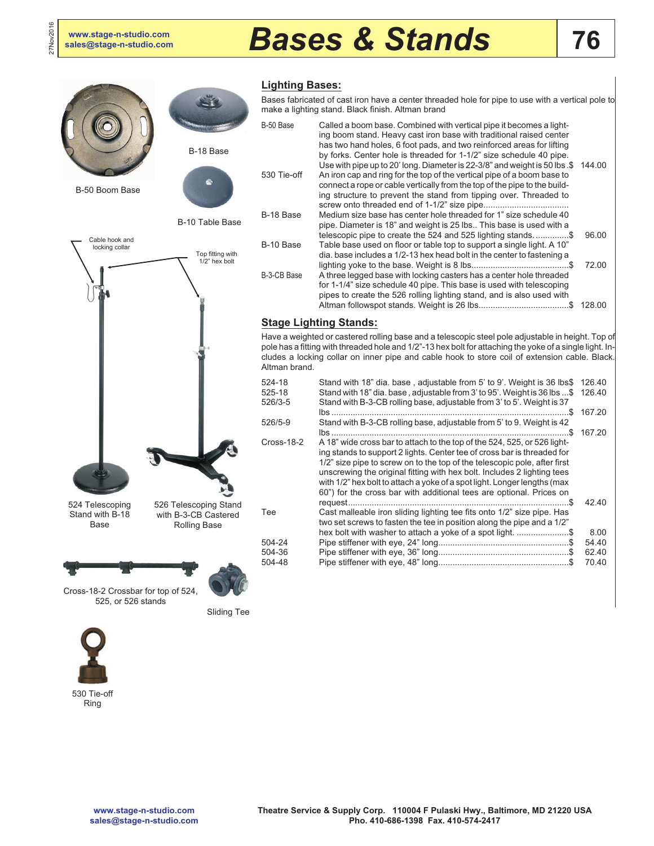27Nov2016

# **[sales@stage-n-studio.com](mailto:sales@stage-n-studio.com)** *Bases & Stands*



## **Lighting Bases:**

Bases fabricated of cast iron have a center threaded hole for pipe to use with a vertical pole to make a lighting stand. Black finish. Altman brand

| B-50 Base   | Called a boom base. Combined with vertical pipe it becomes a light-<br>ing boom stand. Heavy cast iron base with traditional raised center<br>has two hand holes, 6 foot pads, and two reinforced areas for lifting<br>by forks. Center hole is threaded for 1-1/2" size schedule 40 pipe.              |        |
|-------------|---------------------------------------------------------------------------------------------------------------------------------------------------------------------------------------------------------------------------------------------------------------------------------------------------------|--------|
| 530 Tie-off | Use with pipe up to 20' long. Diameter is 22-3/8" and weight is 50 lbs .\$<br>An iron cap and ring for the top of the vertical pipe of a boom base to<br>connect a rope or cable vertically from the top of the pipe to the build-<br>ing structure to prevent the stand from tipping over. Threaded to | 144.00 |
|             |                                                                                                                                                                                                                                                                                                         |        |
| B-18 Base   | Medium size base has center hole threaded for 1" size schedule 40                                                                                                                                                                                                                                       |        |
|             | pipe. Diameter is 18" and weight is 25 lbs This base is used with a                                                                                                                                                                                                                                     |        |
|             | telescopic pipe to create the 524 and 525 lighting stands\$                                                                                                                                                                                                                                             | 96.00  |
| B-10 Base   | Table base used on floor or table top to support a single light. A 10"                                                                                                                                                                                                                                  |        |
|             | dia. base includes a 1/2-13 hex head bolt in the center to fastening a                                                                                                                                                                                                                                  |        |
|             |                                                                                                                                                                                                                                                                                                         | 72.00  |
| B-3-CB Base | A three legged base with locking casters has a center hole threaded                                                                                                                                                                                                                                     |        |
|             | for 1-1/4" size schedule 40 pipe. This base is used with telescoping                                                                                                                                                                                                                                    |        |
|             | pipes to create the 526 rolling lighting stand, and is also used with                                                                                                                                                                                                                                   |        |
|             |                                                                                                                                                                                                                                                                                                         | 128.00 |

## **Stage Lighting Stands:**

Have a weighted or castered rolling base and a telescopic steel pole adjustable in height. Top of pole has a fitting with threaded hole and 1/2"-13 hex bolt for attaching the yoke of a single light. Includes a locking collar on inner pipe and cable hook to store coil of extension cable. Black. Altman brand.

| 524-18<br>525-18<br>526/3-5 | Stand with 18" dia. base, adjustable from 5' to 9'. Weight is 36 lbs\$<br>Stand with 18" dia. base, adjustable from 3' to 95'. Weight is 36 lbs \$<br>Stand with B-3-CB rolling base, adjustable from 3' to 5'. Weight is 37                                                                                                                                                                                                                                   | 126.40<br>126.40 |
|-----------------------------|----------------------------------------------------------------------------------------------------------------------------------------------------------------------------------------------------------------------------------------------------------------------------------------------------------------------------------------------------------------------------------------------------------------------------------------------------------------|------------------|
|                             |                                                                                                                                                                                                                                                                                                                                                                                                                                                                | 167.20           |
| 526/5-9                     | Stand with B-3-CB rolling base, adjustable from 5' to 9. Weight is 42                                                                                                                                                                                                                                                                                                                                                                                          |                  |
|                             |                                                                                                                                                                                                                                                                                                                                                                                                                                                                | 167.20           |
| Cross-18-2                  | A 18" wide cross bar to attach to the top of the 524, 525, or 526 light-<br>ing stands to support 2 lights. Center tee of cross bar is threaded for<br>1/2" size pipe to screw on to the top of the telescopic pole, after first<br>unscrewing the original fitting with hex bolt. Includes 2 lighting tees<br>with 1/2" hex bolt to attach a yoke of a spot light. Longer lengths (max<br>60") for the cross bar with additional tees are optional. Prices on |                  |
|                             | S                                                                                                                                                                                                                                                                                                                                                                                                                                                              | 42.40            |
| Tee                         | Cast malleable iron sliding lighting tee fits onto 1/2" size pipe. Has<br>two set screws to fasten the tee in position along the pipe and a 1/2"                                                                                                                                                                                                                                                                                                               |                  |
|                             | hex bolt with washer to attach a yoke of a spot light. \$                                                                                                                                                                                                                                                                                                                                                                                                      | 8.00             |
| 504-24                      |                                                                                                                                                                                                                                                                                                                                                                                                                                                                | 54.40            |
| 504-36                      |                                                                                                                                                                                                                                                                                                                                                                                                                                                                | 62.40            |
| 504-48                      |                                                                                                                                                                                                                                                                                                                                                                                                                                                                | 70.40            |
|                             |                                                                                                                                                                                                                                                                                                                                                                                                                                                                |                  |